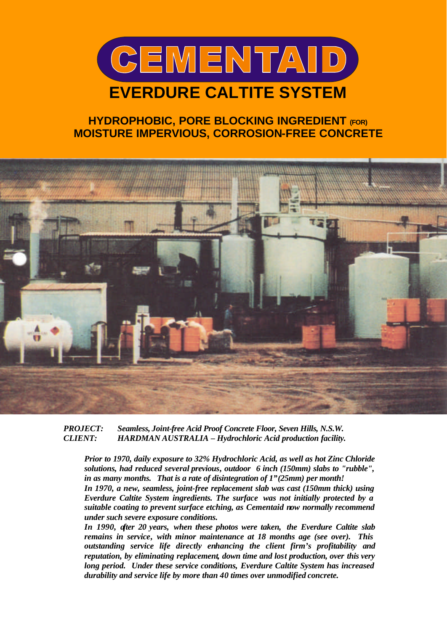

## **HYDROPHOBIC, PORE BLOCKING INGREDIENT (FOR) MOISTURE IMPERVIOUS, CORROSION-FREE CONCRETE**



*PROJECT: Seamless, Joint-free Acid Proof Concrete Floor, Seven Hills, N.S.W. CLIENT: HARDMAN AUSTRALIA – Hydrochloric Acid production facility.*

*Prior to 1970, daily exposure to 32% Hydrochloric Acid, as well as hot Zinc Chloride solutions, had reduced several previous, outdoor 6 inch (150mm) slabs to "rubble", in as many months. That is a rate of disintegration of 1"(25mm) per month!*

*In 1970, a new, seamless, joint-free replacement slab was cast (150mm thick) using Everdure Caltite System ingredients. The surface was not initially protected by a suitable coating to prevent surface etching, as Cementaid now normally recommend under such severe exposure conditions.*

*In 1990, after 20 years, when these photos were taken, the Everdure Caltite slab remains in service, with minor maintenance at 18 months age (see over). This outstanding service life directly enhancing the client firm's profitability and reputation, by eliminating replacement, down time and lost production, over this very long period. Under these service conditions, Everdure Caltite System has increased durability and service life by more than 40 times over unmodified concrete.*